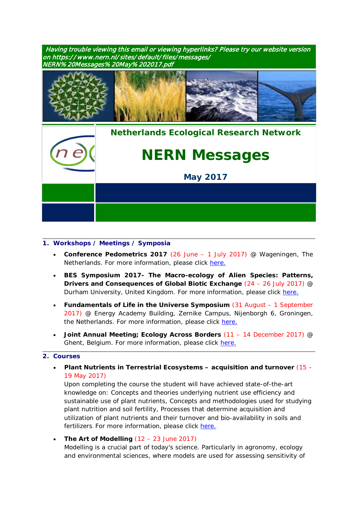Having trouble viewing this email or viewing hyperlinks? Please try our website version on https:/ / www.nern.nl/sites/default/files/messages/ NERN% 20Messages% 20May%202017.pdf





## **1. Workshops / Meetings / Symposia**

- **Conference Pedometrics 2017** (26 June 1 July 2017) @ Wageningen, The Netherlands. For more information, please click [here.](http://www.pedometrics2017.org/)
- **BES Symposium 2017- The Macro-ecology of Alien Species: Patterns, Drivers and Consequences of Global Biotic Exchange** (24 – 26 July 2017) @ Durham University, United Kingdom. For more information, please click [here.](http://www.britishecologicalsociety.org/events/bes-symposium-2017-macroecology-alien-species-patterns-drivers-consequences-global-biotic-exchange/)
- **Fundamentals of Life in the Universe Symposium** (31 August 1 September 2017) @ Energy Academy Building, Zernike Campus, Nijenborgh 6, Groningen, the Netherlands. For more information, please click [here.](http://www.rug.nl/research/gbb/education/origins/)
- **Joint Annual Meeting; Ecology Across Borders** (11 14 December 2017) @ Ghent, Belgium. For more information, please click [here.](http://www.britishecologicalsociety.org/events/annual-meeting-2017/thematic-topic-ghent-2017/)

#### **2. Courses**

• **Plant Nutrients in Terrestrial Ecosystems – acquisition and turnover** (15 – 19 May 2017)

Upon completing the course the student will have achieved state-of-the-art knowledge on: Concepts and theories underlying nutrient use efficiency and sustainable use of plant nutrients, Concepts and methodologies used for studying plant nutrition and soil fertility, Processes that determine acquisition and utilization of plant nutrients and their turnover and bio-availability in soils and fertilizers. For more information, please click [here.](https://phdcourses.ku.dk/detailkursus.aspx?id=99779&sitepath=internet)

• **The Art of Modelling** (12 – 23 June 2017) Modelling is a crucial part of today's science. Particularly in agronomy, ecology and environmental sciences, where models are used for assessing sensitivity of